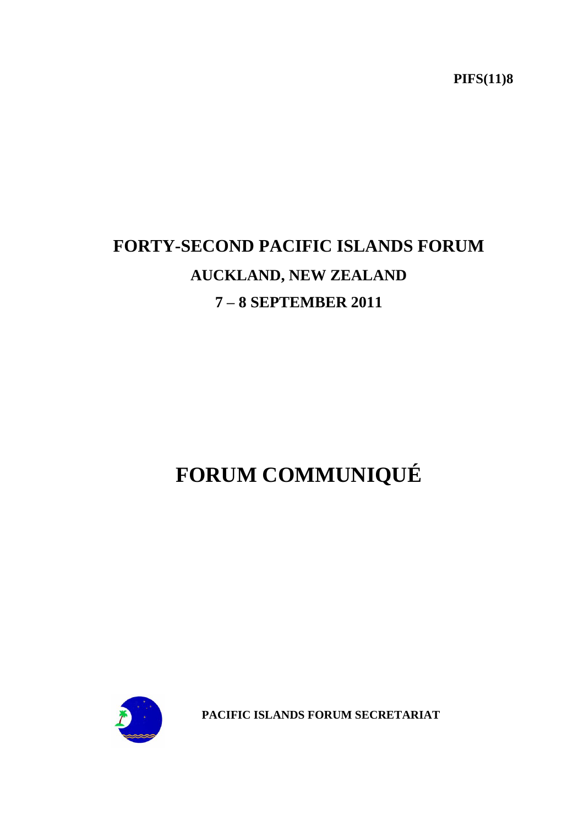**PIFS(11)8**

# **FORTY-SECOND PACIFIC ISLANDS FORUM AUCKLAND, NEW ZEALAND 7 – 8 SEPTEMBER 2011**

# **FORUM COMMUNIQUÉ**



**PACIFIC ISLANDS FORUM SECRETARIAT**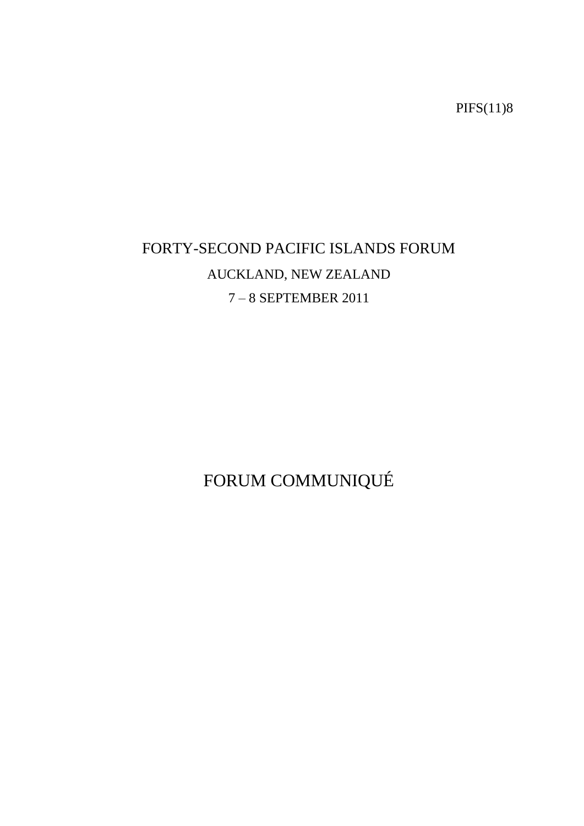PIFS(11)8

# FORTY-SECOND PACIFIC ISLANDS FORUM AUCKLAND, NEW ZEALAND 7 – 8 SEPTEMBER 2011

FORUM COMMUNIQUÉ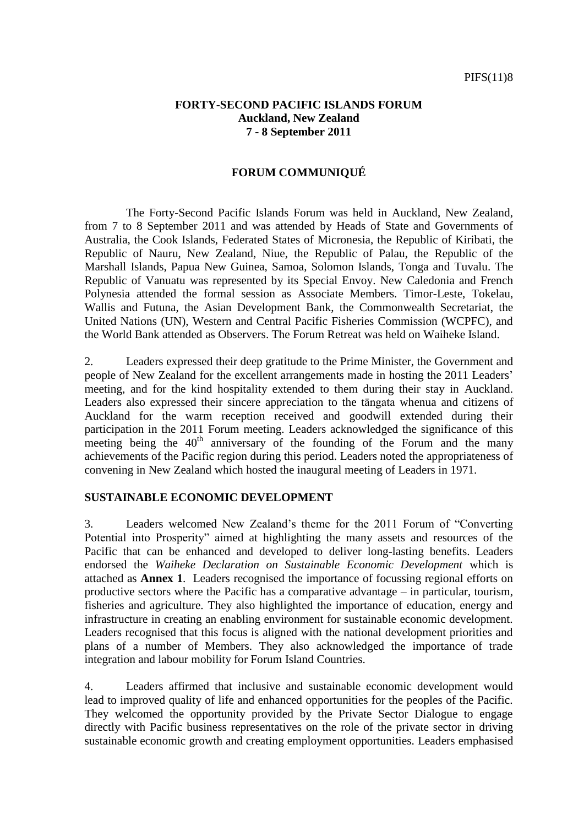#### **FORTY-SECOND PACIFIC ISLANDS FORUM Auckland, New Zealand 7 - 8 September 2011**

#### **FORUM COMMUNIQUÉ**

The Forty-Second Pacific Islands Forum was held in Auckland, New Zealand, from 7 to 8 September 2011 and was attended by Heads of State and Governments of Australia, the Cook Islands, Federated States of Micronesia, the Republic of Kiribati, the Republic of Nauru, New Zealand, Niue, the Republic of Palau, the Republic of the Marshall Islands, Papua New Guinea, Samoa, Solomon Islands, Tonga and Tuvalu. The Republic of Vanuatu was represented by its Special Envoy. New Caledonia and French Polynesia attended the formal session as Associate Members. Timor-Leste, Tokelau, Wallis and Futuna, the Asian Development Bank, the Commonwealth Secretariat, the United Nations (UN), Western and Central Pacific Fisheries Commission (WCPFC), and the World Bank attended as Observers. The Forum Retreat was held on Waiheke Island.

2. Leaders expressed their deep gratitude to the Prime Minister, the Government and people of New Zealand for the excellent arrangements made in hosting the 2011 Leaders" meeting, and for the kind hospitality extended to them during their stay in Auckland. Leaders also expressed their sincere appreciation to the tāngata whenua and citizens of Auckland for the warm reception received and goodwill extended during their participation in the 2011 Forum meeting. Leaders acknowledged the significance of this meeting being the  $40<sup>th</sup>$  anniversary of the founding of the Forum and the many achievements of the Pacific region during this period. Leaders noted the appropriateness of convening in New Zealand which hosted the inaugural meeting of Leaders in 1971.

#### **SUSTAINABLE ECONOMIC DEVELOPMENT**

3. Leaders welcomed New Zealand"s theme for the 2011 Forum of "Converting Potential into Prosperity" aimed at highlighting the many assets and resources of the Pacific that can be enhanced and developed to deliver long-lasting benefits. Leaders endorsed the *Waiheke Declaration on Sustainable Economic Development* which is attached as **Annex 1**. Leaders recognised the importance of focussing regional efforts on productive sectors where the Pacific has a comparative advantage – in particular, tourism, fisheries and agriculture. They also highlighted the importance of education, energy and infrastructure in creating an enabling environment for sustainable economic development. Leaders recognised that this focus is aligned with the national development priorities and plans of a number of Members. They also acknowledged the importance of trade integration and labour mobility for Forum Island Countries.

4. Leaders affirmed that inclusive and sustainable economic development would lead to improved quality of life and enhanced opportunities for the peoples of the Pacific. They welcomed the opportunity provided by the Private Sector Dialogue to engage directly with Pacific business representatives on the role of the private sector in driving sustainable economic growth and creating employment opportunities. Leaders emphasised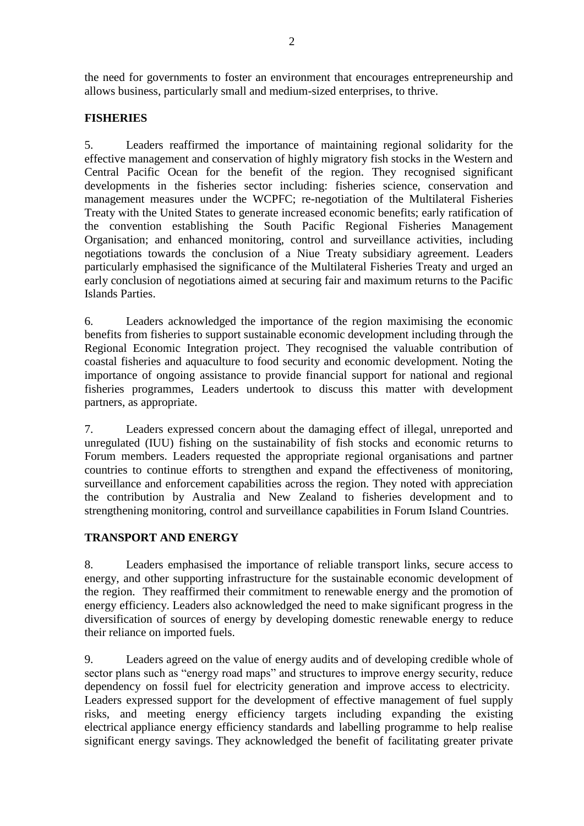the need for governments to foster an environment that encourages entrepreneurship and allows business, particularly small and medium-sized enterprises, to thrive.

### **FISHERIES**

5. Leaders reaffirmed the importance of maintaining regional solidarity for the effective management and conservation of highly migratory fish stocks in the Western and Central Pacific Ocean for the benefit of the region. They recognised significant developments in the fisheries sector including: fisheries science, conservation and management measures under the WCPFC; re-negotiation of the Multilateral Fisheries Treaty with the United States to generate increased economic benefits; early ratification of the convention establishing the South Pacific Regional Fisheries Management Organisation; and enhanced monitoring, control and surveillance activities, including negotiations towards the conclusion of a Niue Treaty subsidiary agreement. Leaders particularly emphasised the significance of the Multilateral Fisheries Treaty and urged an early conclusion of negotiations aimed at securing fair and maximum returns to the Pacific Islands Parties.

6. Leaders acknowledged the importance of the region maximising the economic benefits from fisheries to support sustainable economic development including through the Regional Economic Integration project. They recognised the valuable contribution of coastal fisheries and aquaculture to food security and economic development. Noting the importance of ongoing assistance to provide financial support for national and regional fisheries programmes, Leaders undertook to discuss this matter with development partners, as appropriate.

7. Leaders expressed concern about the damaging effect of illegal, unreported and unregulated (IUU) fishing on the sustainability of fish stocks and economic returns to Forum members. Leaders requested the appropriate regional organisations and partner countries to continue efforts to strengthen and expand the effectiveness of monitoring, surveillance and enforcement capabilities across the region. They noted with appreciation the contribution by Australia and New Zealand to fisheries development and to strengthening monitoring, control and surveillance capabilities in Forum Island Countries.

#### **TRANSPORT AND ENERGY**

8. Leaders emphasised the importance of reliable transport links, secure access to energy, and other supporting infrastructure for the sustainable economic development of the region. They reaffirmed their commitment to renewable energy and the promotion of energy efficiency. Leaders also acknowledged the need to make significant progress in the diversification of sources of energy by developing domestic renewable energy to reduce their reliance on imported fuels.

9. Leaders agreed on the value of energy audits and of developing credible whole of sector plans such as "energy road maps" and structures to improve energy security, reduce dependency on fossil fuel for electricity generation and improve access to electricity. Leaders expressed support for the development of effective management of fuel supply risks, and meeting energy efficiency targets including expanding the existing electrical appliance energy efficiency standards and labelling programme to help realise significant energy savings. They acknowledged the benefit of facilitating greater private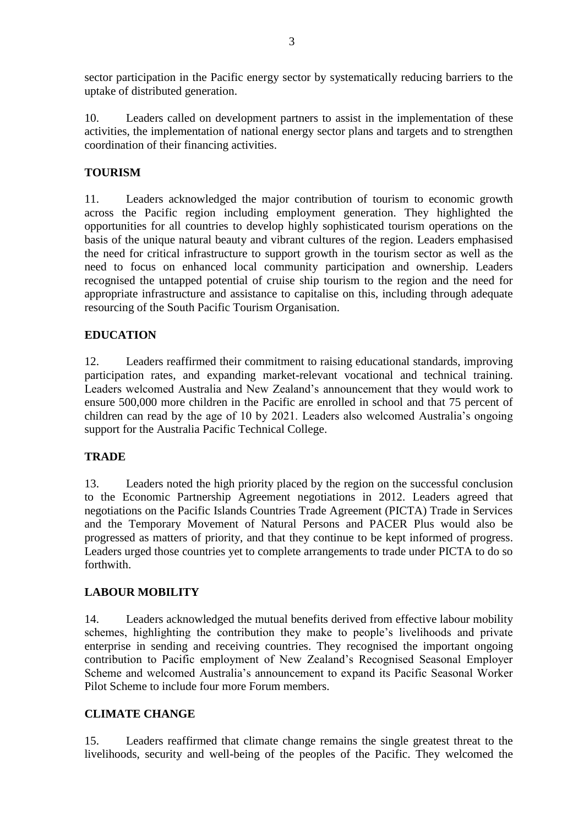sector participation in the Pacific energy sector by systematically reducing barriers to the uptake of distributed generation.

10. Leaders called on development partners to assist in the implementation of these activities, the implementation of national energy sector plans and targets and to strengthen coordination of their financing activities.

#### **TOURISM**

11. Leaders acknowledged the major contribution of tourism to economic growth across the Pacific region including employment generation. They highlighted the opportunities for all countries to develop highly sophisticated tourism operations on the basis of the unique natural beauty and vibrant cultures of the region. Leaders emphasised the need for critical infrastructure to support growth in the tourism sector as well as the need to focus on enhanced local community participation and ownership. Leaders recognised the untapped potential of cruise ship tourism to the region and the need for appropriate infrastructure and assistance to capitalise on this, including through adequate resourcing of the South Pacific Tourism Organisation.

#### **EDUCATION**

12. Leaders reaffirmed their commitment to raising educational standards, improving participation rates, and expanding market-relevant vocational and technical training. Leaders welcomed Australia and New Zealand"s announcement that they would work to ensure 500,000 more children in the Pacific are enrolled in school and that 75 percent of children can read by the age of 10 by 2021. Leaders also welcomed Australia"s ongoing support for the Australia Pacific Technical College.

#### **TRADE**

13. Leaders noted the high priority placed by the region on the successful conclusion to the Economic Partnership Agreement negotiations in 2012. Leaders agreed that negotiations on the Pacific Islands Countries Trade Agreement (PICTA) Trade in Services and the Temporary Movement of Natural Persons and PACER Plus would also be progressed as matters of priority, and that they continue to be kept informed of progress. Leaders urged those countries yet to complete arrangements to trade under PICTA to do so forthwith.

#### **LABOUR MOBILITY**

14. Leaders acknowledged the mutual benefits derived from effective labour mobility schemes, highlighting the contribution they make to people"s livelihoods and private enterprise in sending and receiving countries. They recognised the important ongoing contribution to Pacific employment of New Zealand"s Recognised Seasonal Employer Scheme and welcomed Australia"s announcement to expand its Pacific Seasonal Worker Pilot Scheme to include four more Forum members.

# **CLIMATE CHANGE**

15. Leaders reaffirmed that climate change remains the single greatest threat to the livelihoods, security and well-being of the peoples of the Pacific. They welcomed the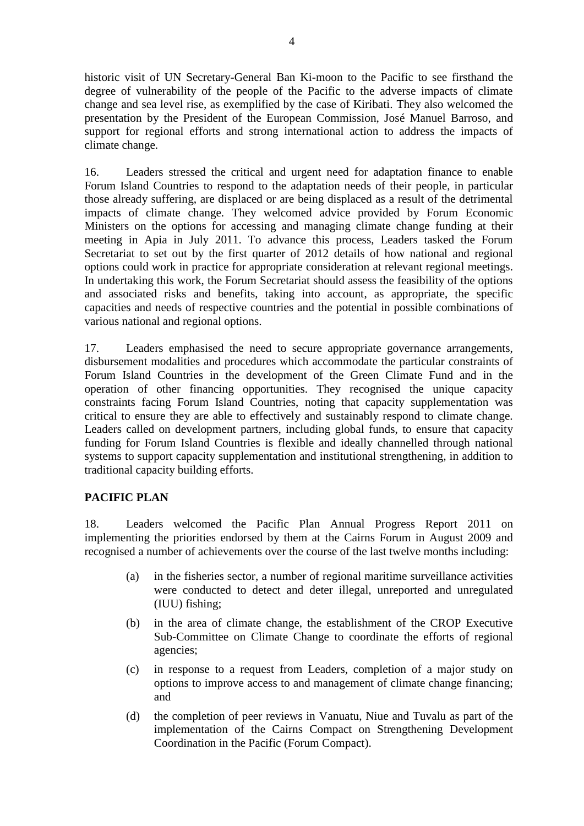historic visit of UN Secretary-General Ban Ki-moon to the Pacific to see firsthand the degree of vulnerability of the people of the Pacific to the adverse impacts of climate change and sea level rise, as exemplified by the case of Kiribati. They also welcomed the presentation by the President of the European Commission, José Manuel Barroso, and support for regional efforts and strong international action to address the impacts of climate change.

16. Leaders stressed the critical and urgent need for adaptation finance to enable Forum Island Countries to respond to the adaptation needs of their people, in particular those already suffering, are displaced or are being displaced as a result of the detrimental impacts of climate change. They welcomed advice provided by Forum Economic Ministers on the options for accessing and managing climate change funding at their meeting in Apia in July 2011. To advance this process, Leaders tasked the Forum Secretariat to set out by the first quarter of 2012 details of how national and regional options could work in practice for appropriate consideration at relevant regional meetings. In undertaking this work, the Forum Secretariat should assess the feasibility of the options and associated risks and benefits, taking into account, as appropriate, the specific capacities and needs of respective countries and the potential in possible combinations of various national and regional options.

17. Leaders emphasised the need to secure appropriate governance arrangements, disbursement modalities and procedures which accommodate the particular constraints of Forum Island Countries in the development of the Green Climate Fund and in the operation of other financing opportunities. They recognised the unique capacity constraints facing Forum Island Countries, noting that capacity supplementation was critical to ensure they are able to effectively and sustainably respond to climate change. Leaders called on development partners, including global funds, to ensure that capacity funding for Forum Island Countries is flexible and ideally channelled through national systems to support capacity supplementation and institutional strengthening, in addition to traditional capacity building efforts.

# **PACIFIC PLAN**

18. Leaders welcomed the Pacific Plan Annual Progress Report 2011 on implementing the priorities endorsed by them at the Cairns Forum in August 2009 and recognised a number of achievements over the course of the last twelve months including:

- (a) in the fisheries sector, a number of regional maritime surveillance activities were conducted to detect and deter illegal, unreported and unregulated (IUU) fishing;
- (b) in the area of climate change, the establishment of the CROP Executive Sub-Committee on Climate Change to coordinate the efforts of regional agencies;
- (c) in response to a request from Leaders, completion of a major study on options to improve access to and management of climate change financing; and
- (d) the completion of peer reviews in Vanuatu, Niue and Tuvalu as part of the implementation of the Cairns Compact on Strengthening Development Coordination in the Pacific (Forum Compact).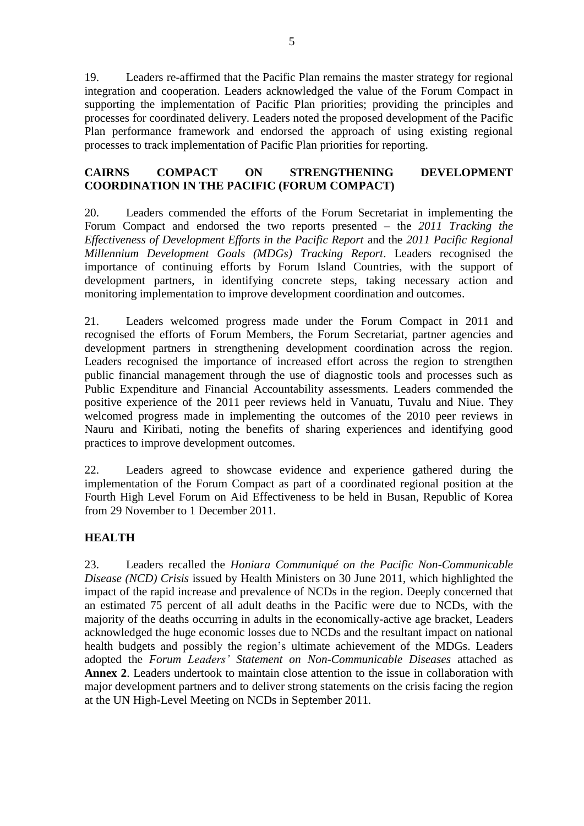19. Leaders re-affirmed that the Pacific Plan remains the master strategy for regional integration and cooperation. Leaders acknowledged the value of the Forum Compact in supporting the implementation of Pacific Plan priorities; providing the principles and processes for coordinated delivery. Leaders noted the proposed development of the Pacific Plan performance framework and endorsed the approach of using existing regional processes to track implementation of Pacific Plan priorities for reporting.

#### **CAIRNS COMPACT ON STRENGTHENING DEVELOPMENT COORDINATION IN THE PACIFIC (FORUM COMPACT)**

20. Leaders commended the efforts of the Forum Secretariat in implementing the Forum Compact and endorsed the two reports presented – the *2011 Tracking the Effectiveness of Development Efforts in the Pacific Report* and the *2011 Pacific Regional Millennium Development Goals (MDGs) Tracking Report*. Leaders recognised the importance of continuing efforts by Forum Island Countries, with the support of development partners, in identifying concrete steps, taking necessary action and monitoring implementation to improve development coordination and outcomes.

21. Leaders welcomed progress made under the Forum Compact in 2011 and recognised the efforts of Forum Members, the Forum Secretariat, partner agencies and development partners in strengthening development coordination across the region. Leaders recognised the importance of increased effort across the region to strengthen public financial management through the use of diagnostic tools and processes such as Public Expenditure and Financial Accountability assessments. Leaders commended the positive experience of the 2011 peer reviews held in Vanuatu, Tuvalu and Niue. They welcomed progress made in implementing the outcomes of the 2010 peer reviews in Nauru and Kiribati, noting the benefits of sharing experiences and identifying good practices to improve development outcomes.

22. Leaders agreed to showcase evidence and experience gathered during the implementation of the Forum Compact as part of a coordinated regional position at the Fourth High Level Forum on Aid Effectiveness to be held in Busan, Republic of Korea from 29 November to 1 December 2011.

#### **HEALTH**

23. Leaders recalled the *Honiara Communiqué on the Pacific Non-Communicable Disease (NCD) Crisis* issued by Health Ministers on 30 June 2011, which highlighted the impact of the rapid increase and prevalence of NCDs in the region. Deeply concerned that an estimated 75 percent of all adult deaths in the Pacific were due to NCDs, with the majority of the deaths occurring in adults in the economically-active age bracket, Leaders acknowledged the huge economic losses due to NCDs and the resultant impact on national health budgets and possibly the region's ultimate achievement of the MDGs. Leaders adopted the *Forum Leaders' Statement on Non-Communicable Diseases* attached as **Annex 2**. Leaders undertook to maintain close attention to the issue in collaboration with major development partners and to deliver strong statements on the crisis facing the region at the UN High-Level Meeting on NCDs in September 2011*.*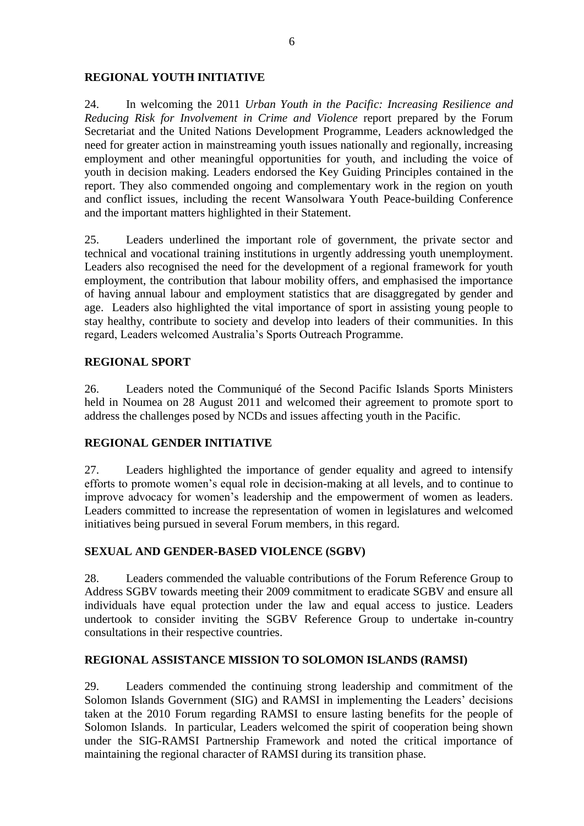#### **REGIONAL YOUTH INITIATIVE**

24. In welcoming the 2011 *Urban Youth in the Pacific: Increasing Resilience and Reducing Risk for Involvement in Crime and Violence* report prepared by the Forum Secretariat and the United Nations Development Programme, Leaders acknowledged the need for greater action in mainstreaming youth issues nationally and regionally, increasing employment and other meaningful opportunities for youth, and including the voice of youth in decision making. Leaders endorsed the Key Guiding Principles contained in the report. They also commended ongoing and complementary work in the region on youth and conflict issues, including the recent Wansolwara Youth Peace-building Conference and the important matters highlighted in their Statement.

25. Leaders underlined the important role of government, the private sector and technical and vocational training institutions in urgently addressing youth unemployment. Leaders also recognised the need for the development of a regional framework for youth employment, the contribution that labour mobility offers, and emphasised the importance of having annual labour and employment statistics that are disaggregated by gender and age. Leaders also highlighted the vital importance of sport in assisting young people to stay healthy, contribute to society and develop into leaders of their communities. In this regard, Leaders welcomed Australia"s Sports Outreach Programme.

#### **REGIONAL SPORT**

26. Leaders noted the Communiqué of the Second Pacific Islands Sports Ministers held in Noumea on 28 August 2011 and welcomed their agreement to promote sport to address the challenges posed by NCDs and issues affecting youth in the Pacific.

#### **REGIONAL GENDER INITIATIVE**

27. Leaders highlighted the importance of gender equality and agreed to intensify efforts to promote women"s equal role in decision-making at all levels, and to continue to improve advocacy for women"s leadership and the empowerment of women as leaders. Leaders committed to increase the representation of women in legislatures and welcomed initiatives being pursued in several Forum members, in this regard.

#### **SEXUAL AND GENDER-BASED VIOLENCE (SGBV)**

28. Leaders commended the valuable contributions of the Forum Reference Group to Address SGBV towards meeting their 2009 commitment to eradicate SGBV and ensure all individuals have equal protection under the law and equal access to justice. Leaders undertook to consider inviting the SGBV Reference Group to undertake in-country consultations in their respective countries.

#### **REGIONAL ASSISTANCE MISSION TO SOLOMON ISLANDS (RAMSI)**

29. Leaders commended the continuing strong leadership and commitment of the Solomon Islands Government (SIG) and RAMSI in implementing the Leaders' decisions taken at the 2010 Forum regarding RAMSI to ensure lasting benefits for the people of Solomon Islands. In particular, Leaders welcomed the spirit of cooperation being shown under the SIG-RAMSI Partnership Framework and noted the critical importance of maintaining the regional character of RAMSI during its transition phase.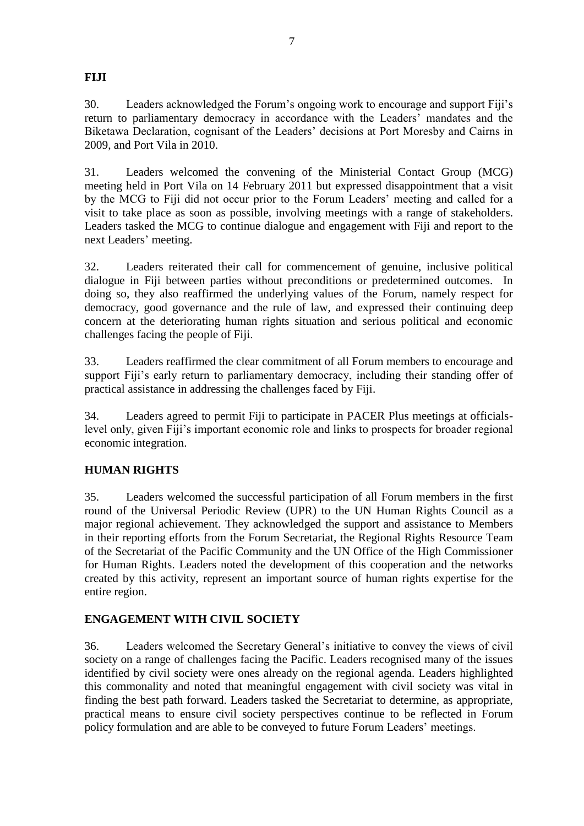## **FIJI**

30. Leaders acknowledged the Forum"s ongoing work to encourage and support Fiji"s return to parliamentary democracy in accordance with the Leaders' mandates and the Biketawa Declaration, cognisant of the Leaders" decisions at Port Moresby and Cairns in 2009, and Port Vila in 2010.

31. Leaders welcomed the convening of the Ministerial Contact Group (MCG) meeting held in Port Vila on 14 February 2011 but expressed disappointment that a visit by the MCG to Fiji did not occur prior to the Forum Leaders' meeting and called for a visit to take place as soon as possible, involving meetings with a range of stakeholders. Leaders tasked the MCG to continue dialogue and engagement with Fiji and report to the next Leaders' meeting.

32. Leaders reiterated their call for commencement of genuine, inclusive political dialogue in Fiji between parties without preconditions or predetermined outcomes. In doing so, they also reaffirmed the underlying values of the Forum, namely respect for democracy, good governance and the rule of law, and expressed their continuing deep concern at the deteriorating human rights situation and serious political and economic challenges facing the people of Fiji.

33. Leaders reaffirmed the clear commitment of all Forum members to encourage and support Fiji's early return to parliamentary democracy, including their standing offer of practical assistance in addressing the challenges faced by Fiji.

34. Leaders agreed to permit Fiji to participate in PACER Plus meetings at officialslevel only, given Fiji"s important economic role and links to prospects for broader regional economic integration.

# **HUMAN RIGHTS**

35. Leaders welcomed the successful participation of all Forum members in the first round of the Universal Periodic Review (UPR) to the UN Human Rights Council as a major regional achievement. They acknowledged the support and assistance to Members in their reporting efforts from the Forum Secretariat, the Regional Rights Resource Team of the Secretariat of the Pacific Community and the UN Office of the High Commissioner for Human Rights. Leaders noted the development of this cooperation and the networks created by this activity, represent an important source of human rights expertise for the entire region.

#### **ENGAGEMENT WITH CIVIL SOCIETY**

36. Leaders welcomed the Secretary General"s initiative to convey the views of civil society on a range of challenges facing the Pacific. Leaders recognised many of the issues identified by civil society were ones already on the regional agenda. Leaders highlighted this commonality and noted that meaningful engagement with civil society was vital in finding the best path forward. Leaders tasked the Secretariat to determine, as appropriate, practical means to ensure civil society perspectives continue to be reflected in Forum policy formulation and are able to be conveyed to future Forum Leaders" meetings.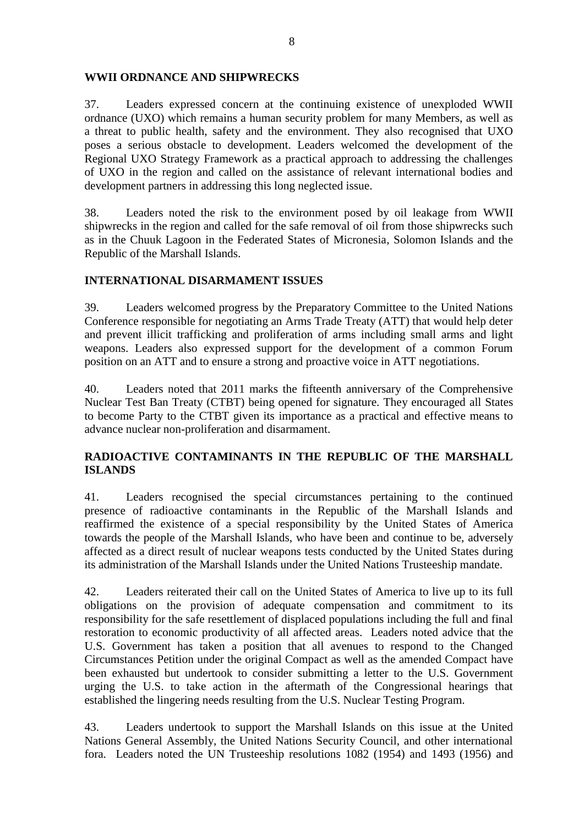#### **WWII ORDNANCE AND SHIPWRECKS**

37. Leaders expressed concern at the continuing existence of unexploded WWII ordnance (UXO) which remains a human security problem for many Members, as well as a threat to public health, safety and the environment. They also recognised that UXO poses a serious obstacle to development. Leaders welcomed the development of the Regional UXO Strategy Framework as a practical approach to addressing the challenges of UXO in the region and called on the assistance of relevant international bodies and development partners in addressing this long neglected issue.

38. Leaders noted the risk to the environment posed by oil leakage from WWII shipwrecks in the region and called for the safe removal of oil from those shipwrecks such as in the Chuuk Lagoon in the Federated States of Micronesia, Solomon Islands and the Republic of the Marshall Islands.

#### **INTERNATIONAL DISARMAMENT ISSUES**

39. Leaders welcomed progress by the Preparatory Committee to the United Nations Conference responsible for negotiating an Arms Trade Treaty (ATT) that would help deter and prevent illicit trafficking and proliferation of arms including small arms and light weapons. Leaders also expressed support for the development of a common Forum position on an ATT and to ensure a strong and proactive voice in ATT negotiations.

40. Leaders noted that 2011 marks the fifteenth anniversary of the Comprehensive Nuclear Test Ban Treaty (CTBT) being opened for signature. They encouraged all States to become Party to the CTBT given its importance as a practical and effective means to advance nuclear non-proliferation and disarmament.

## **RADIOACTIVE CONTAMINANTS IN THE REPUBLIC OF THE MARSHALL ISLANDS**

41. Leaders recognised the special circumstances pertaining to the continued presence of radioactive contaminants in the Republic of the Marshall Islands and reaffirmed the existence of a special responsibility by the United States of America towards the people of the Marshall Islands, who have been and continue to be, adversely affected as a direct result of nuclear weapons tests conducted by the United States during its administration of the Marshall Islands under the United Nations Trusteeship mandate.

42. Leaders reiterated their call on the United States of America to live up to its full obligations on the provision of adequate compensation and commitment to its responsibility for the safe resettlement of displaced populations including the full and final restoration to economic productivity of all affected areas. Leaders noted advice that the U.S. Government has taken a position that all avenues to respond to the Changed Circumstances Petition under the original Compact as well as the amended Compact have been exhausted but undertook to consider submitting a letter to the U.S. Government urging the U.S. to take action in the aftermath of the Congressional hearings that established the lingering needs resulting from the U.S. Nuclear Testing Program.

43. Leaders undertook to support the Marshall Islands on this issue at the United Nations General Assembly, the United Nations Security Council, and other international fora. Leaders noted the UN Trusteeship resolutions 1082 (1954) and 1493 (1956) and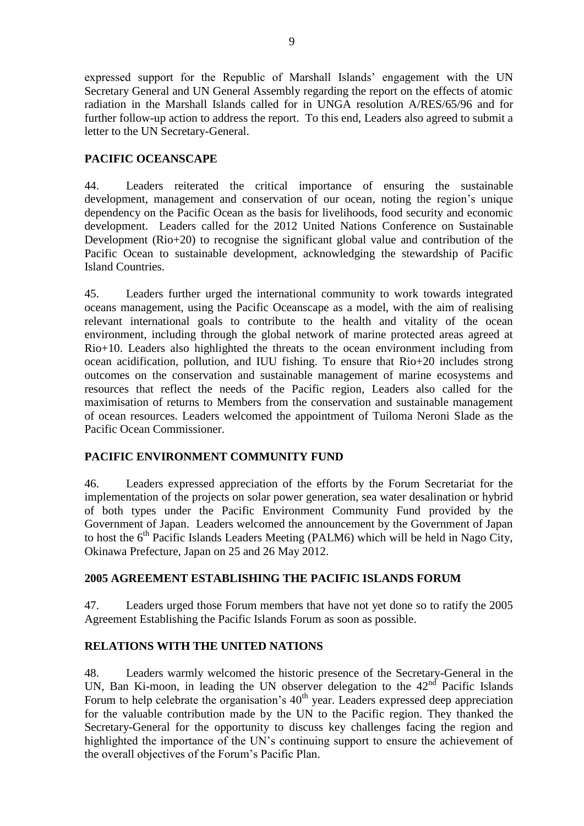expressed support for the Republic of Marshall Islands" engagement with the UN Secretary General and UN General Assembly regarding the report on the effects of atomic radiation in the Marshall Islands called for in UNGA resolution A/RES/65/96 and for further follow-up action to address the report. To this end, Leaders also agreed to submit a letter to the UN Secretary-General.

#### **PACIFIC OCEANSCAPE**

44. Leaders reiterated the critical importance of ensuring the sustainable development, management and conservation of our ocean, noting the region's unique dependency on the Pacific Ocean as the basis for livelihoods, food security and economic development. Leaders called for the 2012 United Nations Conference on Sustainable Development (Rio+20) to recognise the significant global value and contribution of the Pacific Ocean to sustainable development, acknowledging the stewardship of Pacific Island Countries.

45. Leaders further urged the international community to work towards integrated oceans management, using the Pacific Oceanscape as a model, with the aim of realising relevant international goals to contribute to the health and vitality of the ocean environment, including through the global network of marine protected areas agreed at Rio+10. Leaders also highlighted the threats to the ocean environment including from ocean acidification, pollution, and IUU fishing. To ensure that Rio+20 includes strong outcomes on the conservation and sustainable management of marine ecosystems and resources that reflect the needs of the Pacific region, Leaders also called for the maximisation of returns to Members from the conservation and sustainable management of ocean resources. Leaders welcomed the appointment of Tuiloma Neroni Slade as the Pacific Ocean Commissioner.

#### **PACIFIC ENVIRONMENT COMMUNITY FUND**

46. Leaders expressed appreciation of the efforts by the Forum Secretariat for the implementation of the projects on solar power generation, sea water desalination or hybrid of both types under the Pacific Environment Community Fund provided by the Government of Japan. Leaders welcomed the announcement by the Government of Japan to host the  $6<sup>th</sup>$  Pacific Islands Leaders Meeting (PALM6) which will be held in Nago City, Okinawa Prefecture, Japan on 25 and 26 May 2012.

#### **2005 AGREEMENT ESTABLISHING THE PACIFIC ISLANDS FORUM**

47. Leaders urged those Forum members that have not yet done so to ratify the 2005 Agreement Establishing the Pacific Islands Forum as soon as possible.

#### **RELATIONS WITH THE UNITED NATIONS**

48. Leaders warmly welcomed the historic presence of the Secretary-General in the UN, Ban Ki-moon, in leading the UN observer delegation to the  $42<sup>nd</sup>$  Pacific Islands Forum to help celebrate the organisation's  $40<sup>th</sup>$  year. Leaders expressed deep appreciation for the valuable contribution made by the UN to the Pacific region. They thanked the Secretary-General for the opportunity to discuss key challenges facing the region and highlighted the importance of the UN"s continuing support to ensure the achievement of the overall objectives of the Forum"s Pacific Plan.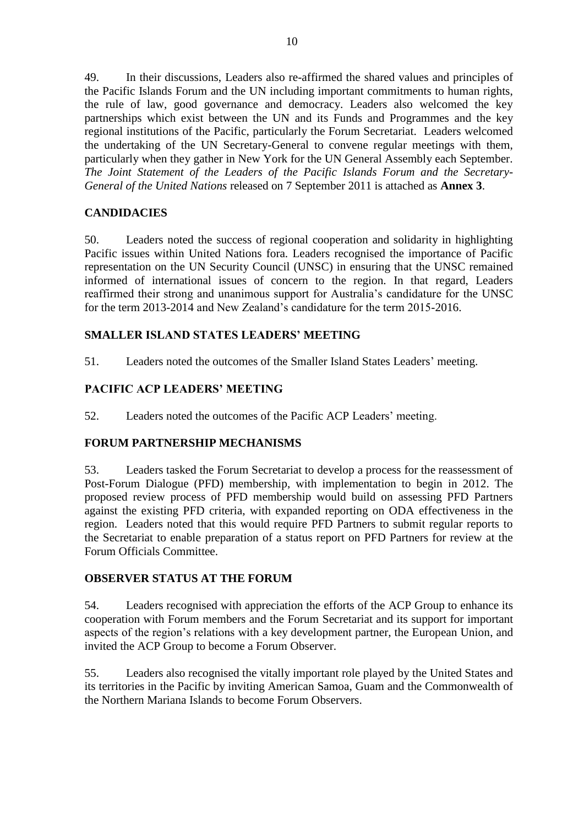49. In their discussions, Leaders also re-affirmed the shared values and principles of the Pacific Islands Forum and the UN including important commitments to human rights, the rule of law, good governance and democracy. Leaders also welcomed the key partnerships which exist between the UN and its Funds and Programmes and the key regional institutions of the Pacific, particularly the Forum Secretariat. Leaders welcomed the undertaking of the UN Secretary-General to convene regular meetings with them, particularly when they gather in New York for the UN General Assembly each September. *The Joint Statement of the Leaders of the Pacific Islands Forum and the Secretary-General of the United Nations* released on 7 September 2011 is attached as **Annex 3**.

#### **CANDIDACIES**

50. Leaders noted the success of regional cooperation and solidarity in highlighting Pacific issues within United Nations fora. Leaders recognised the importance of Pacific representation on the UN Security Council (UNSC) in ensuring that the UNSC remained informed of international issues of concern to the region. In that regard, Leaders reaffirmed their strong and unanimous support for Australia"s candidature for the UNSC for the term 2013-2014 and New Zealand"s candidature for the term 2015-2016.

#### **SMALLER ISLAND STATES LEADERS' MEETING**

51. Leaders noted the outcomes of the Smaller Island States Leaders" meeting.

# **PACIFIC ACP LEADERS' MEETING**

52. Leaders noted the outcomes of the Pacific ACP Leaders' meeting.

# **FORUM PARTNERSHIP MECHANISMS**

53. Leaders tasked the Forum Secretariat to develop a process for the reassessment of Post-Forum Dialogue (PFD) membership, with implementation to begin in 2012. The proposed review process of PFD membership would build on assessing PFD Partners against the existing PFD criteria, with expanded reporting on ODA effectiveness in the region. Leaders noted that this would require PFD Partners to submit regular reports to the Secretariat to enable preparation of a status report on PFD Partners for review at the Forum Officials Committee.

# **OBSERVER STATUS AT THE FORUM**

54. Leaders recognised with appreciation the efforts of the ACP Group to enhance its cooperation with Forum members and the Forum Secretariat and its support for important aspects of the region"s relations with a key development partner, the European Union, and invited the ACP Group to become a Forum Observer.

55. Leaders also recognised the vitally important role played by the United States and its territories in the Pacific by inviting American Samoa, Guam and the Commonwealth of the Northern Mariana Islands to become Forum Observers.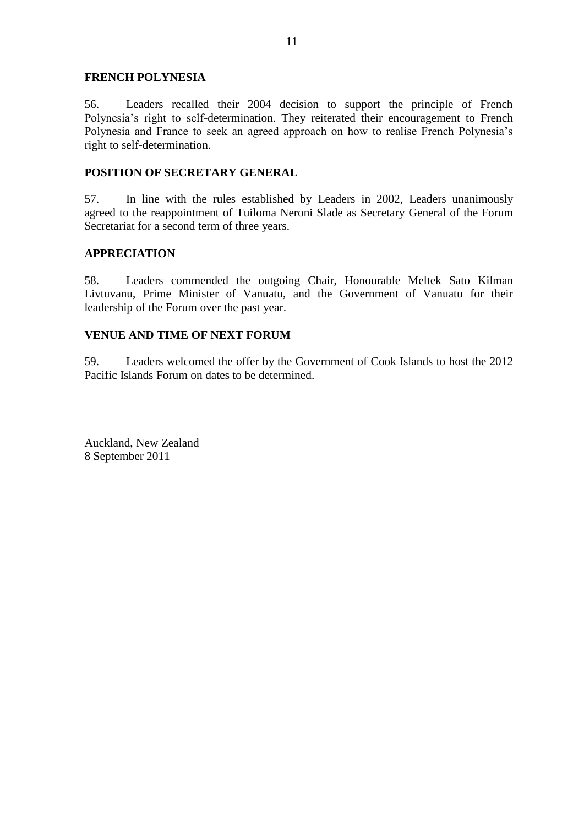#### **FRENCH POLYNESIA**

56. Leaders recalled their 2004 decision to support the principle of French Polynesia's right to self-determination. They reiterated their encouragement to French Polynesia and France to seek an agreed approach on how to realise French Polynesia"s right to self-determination.

#### **POSITION OF SECRETARY GENERAL**

57. In line with the rules established by Leaders in 2002, Leaders unanimously agreed to the reappointment of Tuiloma Neroni Slade as Secretary General of the Forum Secretariat for a second term of three years.

#### **APPRECIATION**

58. Leaders commended the outgoing Chair, Honourable Meltek Sato Kilman Livtuvanu, Prime Minister of Vanuatu, and the Government of Vanuatu for their leadership of the Forum over the past year.

#### **VENUE AND TIME OF NEXT FORUM**

59. Leaders welcomed the offer by the Government of Cook Islands to host the 2012 Pacific Islands Forum on dates to be determined.

Auckland, New Zealand 8 September 2011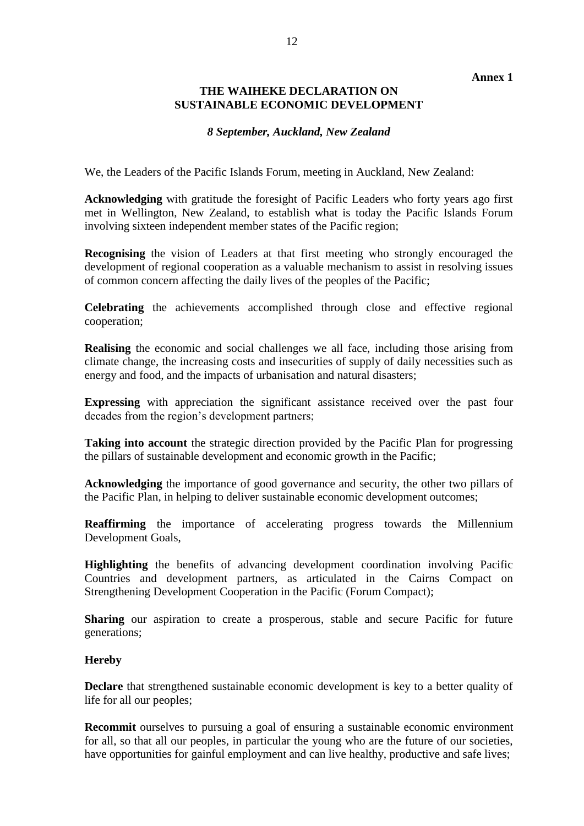#### **Annex 1**

#### **THE WAIHEKE DECLARATION ON SUSTAINABLE ECONOMIC DEVELOPMENT**

#### *8 September, Auckland, New Zealand*

We, the Leaders of the Pacific Islands Forum, meeting in Auckland, New Zealand:

**Acknowledging** with gratitude the foresight of Pacific Leaders who forty years ago first met in Wellington, New Zealand, to establish what is today the Pacific Islands Forum involving sixteen independent member states of the Pacific region;

**Recognising** the vision of Leaders at that first meeting who strongly encouraged the development of regional cooperation as a valuable mechanism to assist in resolving issues of common concern affecting the daily lives of the peoples of the Pacific;

**Celebrating** the achievements accomplished through close and effective regional cooperation;

**Realising** the economic and social challenges we all face, including those arising from climate change, the increasing costs and insecurities of supply of daily necessities such as energy and food, and the impacts of urbanisation and natural disasters;

**Expressing** with appreciation the significant assistance received over the past four decades from the region"s development partners;

**Taking into account** the strategic direction provided by the Pacific Plan for progressing the pillars of sustainable development and economic growth in the Pacific;

**Acknowledging** the importance of good governance and security, the other two pillars of the Pacific Plan, in helping to deliver sustainable economic development outcomes;

**Reaffirming** the importance of accelerating progress towards the Millennium Development Goals,

**Highlighting** the benefits of advancing development coordination involving Pacific Countries and development partners, as articulated in the Cairns Compact on Strengthening Development Cooperation in the Pacific (Forum Compact);

**Sharing** our aspiration to create a prosperous, stable and secure Pacific for future generations;

#### **Hereby**

**Declare** that strengthened sustainable economic development is key to a better quality of life for all our peoples;

**Recommit** ourselves to pursuing a goal of ensuring a sustainable economic environment for all, so that all our peoples, in particular the young who are the future of our societies, have opportunities for gainful employment and can live healthy, productive and safe lives;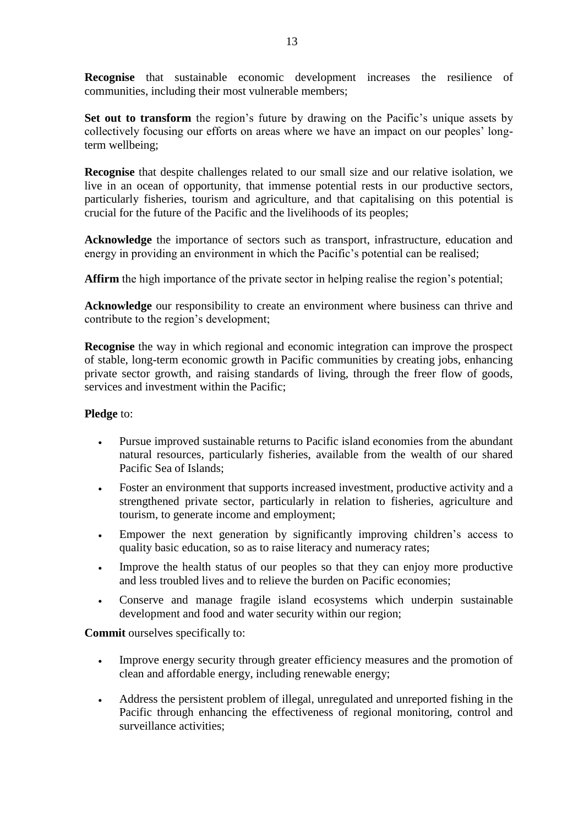**Recognise** that sustainable economic development increases the resilience of communities, including their most vulnerable members;

**Set out to transform** the region's future by drawing on the Pacific's unique assets by collectively focusing our efforts on areas where we have an impact on our peoples" longterm wellbeing;

**Recognise** that despite challenges related to our small size and our relative isolation, we live in an ocean of opportunity, that immense potential rests in our productive sectors, particularly fisheries, tourism and agriculture, and that capitalising on this potential is crucial for the future of the Pacific and the livelihoods of its peoples;

**Acknowledge** the importance of sectors such as transport, infrastructure, education and energy in providing an environment in which the Pacific's potential can be realised;

**Affirm** the high importance of the private sector in helping realise the region's potential;

**Acknowledge** our responsibility to create an environment where business can thrive and contribute to the region's development;

**Recognise** the way in which regional and economic integration can improve the prospect of stable, long-term economic growth in Pacific communities by creating jobs, enhancing private sector growth, and raising standards of living, through the freer flow of goods, services and investment within the Pacific;

#### **Pledge** to:

- Pursue improved sustainable returns to Pacific island economies from the abundant natural resources, particularly fisheries, available from the wealth of our shared Pacific Sea of Islands;
- Foster an environment that supports increased investment, productive activity and a strengthened private sector, particularly in relation to fisheries, agriculture and tourism, to generate income and employment;
- Empower the next generation by significantly improving children"s access to quality basic education, so as to raise literacy and numeracy rates;
- Improve the health status of our peoples so that they can enjoy more productive and less troubled lives and to relieve the burden on Pacific economies;
- Conserve and manage fragile island ecosystems which underpin sustainable development and food and water security within our region;

**Commit** ourselves specifically to:

- Improve energy security through greater efficiency measures and the promotion of clean and affordable energy, including renewable energy;
- Address the persistent problem of illegal, unregulated and unreported fishing in the Pacific through enhancing the effectiveness of regional monitoring, control and surveillance activities;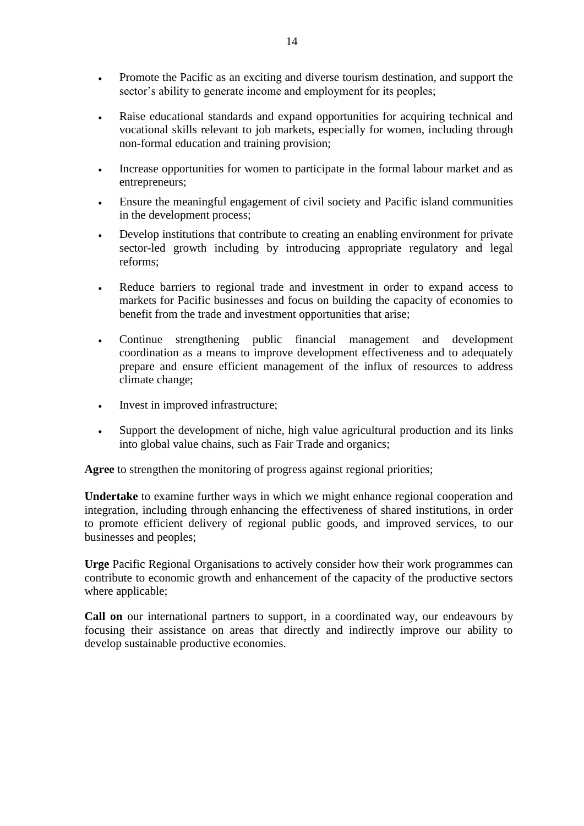- Promote the Pacific as an exciting and diverse tourism destination, and support the sector's ability to generate income and employment for its peoples;
- Raise educational standards and expand opportunities for acquiring technical and vocational skills relevant to job markets, especially for women, including through non-formal education and training provision;
- Increase opportunities for women to participate in the formal labour market and as entrepreneurs;
- Ensure the meaningful engagement of civil society and Pacific island communities in the development process;
- Develop institutions that contribute to creating an enabling environment for private sector-led growth including by introducing appropriate regulatory and legal reforms;
- Reduce barriers to regional trade and investment in order to expand access to markets for Pacific businesses and focus on building the capacity of economies to benefit from the trade and investment opportunities that arise;
- Continue strengthening public financial management and development coordination as a means to improve development effectiveness and to adequately prepare and ensure efficient management of the influx of resources to address climate change;
- Invest in improved infrastructure;
- Support the development of niche, high value agricultural production and its links into global value chains, such as Fair Trade and organics;

**Agree** to strengthen the monitoring of progress against regional priorities;

**Undertake** to examine further ways in which we might enhance regional cooperation and integration, including through enhancing the effectiveness of shared institutions, in order to promote efficient delivery of regional public goods, and improved services, to our businesses and peoples;

**Urge** Pacific Regional Organisations to actively consider how their work programmes can contribute to economic growth and enhancement of the capacity of the productive sectors where applicable;

**Call on** our international partners to support, in a coordinated way, our endeavours by focusing their assistance on areas that directly and indirectly improve our ability to develop sustainable productive economies.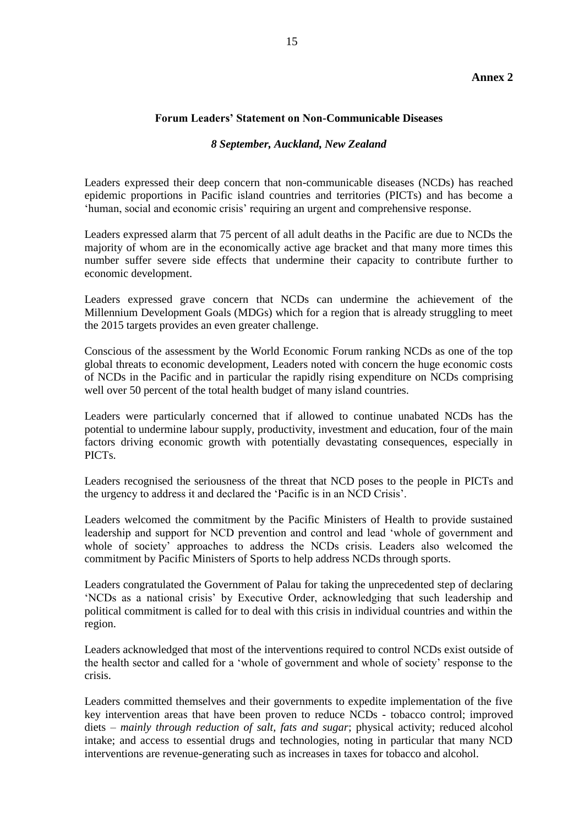#### **Annex 2**

#### **Forum Leaders' Statement on Non-Communicable Diseases**

#### *8 September, Auckland, New Zealand*

Leaders expressed their deep concern that non-communicable diseases (NCDs) has reached epidemic proportions in Pacific island countries and territories (PICTs) and has become a 'human, social and economic crisis' requiring an urgent and comprehensive response.

Leaders expressed alarm that 75 percent of all adult deaths in the Pacific are due to NCDs the majority of whom are in the economically active age bracket and that many more times this number suffer severe side effects that undermine their capacity to contribute further to economic development.

Leaders expressed grave concern that NCDs can undermine the achievement of the Millennium Development Goals (MDGs) which for a region that is already struggling to meet the 2015 targets provides an even greater challenge.

Conscious of the assessment by the World Economic Forum ranking NCDs as one of the top global threats to economic development, Leaders noted with concern the huge economic costs of NCDs in the Pacific and in particular the rapidly rising expenditure on NCDs comprising well over 50 percent of the total health budget of many island countries.

Leaders were particularly concerned that if allowed to continue unabated NCDs has the potential to undermine labour supply, productivity, investment and education, four of the main factors driving economic growth with potentially devastating consequences, especially in PICTs.

Leaders recognised the seriousness of the threat that NCD poses to the people in PICTs and the urgency to address it and declared the "Pacific is in an NCD Crisis".

Leaders welcomed the commitment by the Pacific Ministers of Health to provide sustained leadership and support for NCD prevention and control and lead "whole of government and whole of society" approaches to address the NCDs crisis. Leaders also welcomed the commitment by Pacific Ministers of Sports to help address NCDs through sports.

Leaders congratulated the Government of Palau for taking the unprecedented step of declaring "NCDs as a national crisis" by Executive Order, acknowledging that such leadership and political commitment is called for to deal with this crisis in individual countries and within the region.

Leaders acknowledged that most of the interventions required to control NCDs exist outside of the health sector and called for a "whole of government and whole of society" response to the crisis.

Leaders committed themselves and their governments to expedite implementation of the five key intervention areas that have been proven to reduce NCDs - tobacco control; improved diets – *mainly through reduction of salt, fats and sugar*; physical activity; reduced alcohol intake; and access to essential drugs and technologies, noting in particular that many NCD interventions are revenue-generating such as increases in taxes for tobacco and alcohol.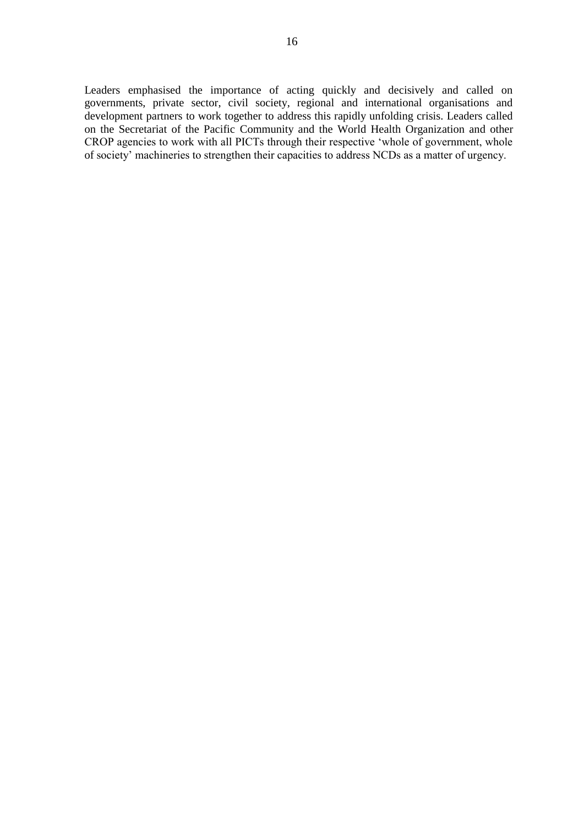Leaders emphasised the importance of acting quickly and decisively and called on governments, private sector, civil society, regional and international organisations and development partners to work together to address this rapidly unfolding crisis. Leaders called on the Secretariat of the Pacific Community and the World Health Organization and other CROP agencies to work with all PICTs through their respective "whole of government, whole of society" machineries to strengthen their capacities to address NCDs as a matter of urgency.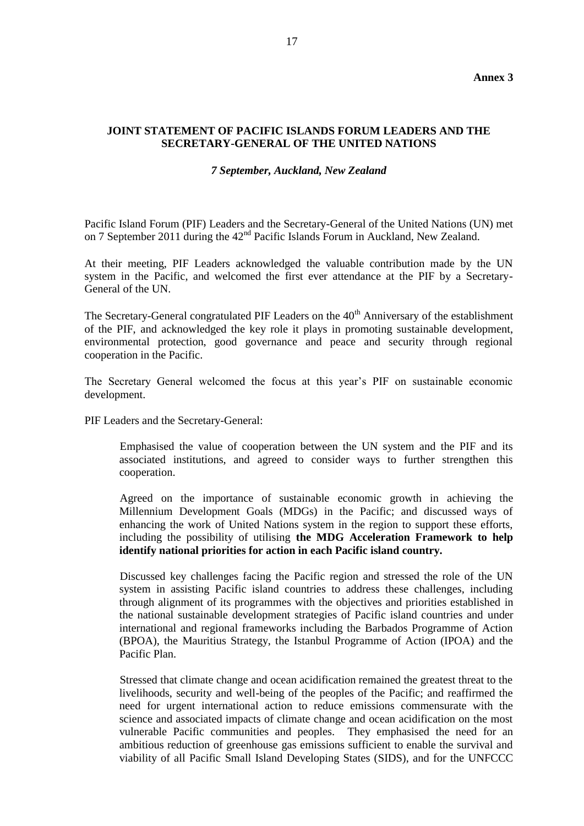#### **JOINT STATEMENT OF PACIFIC ISLANDS FORUM LEADERS AND THE SECRETARY-GENERAL OF THE UNITED NATIONS**

#### *7 September, Auckland, New Zealand*

Pacific Island Forum (PIF) Leaders and the Secretary-General of the United Nations (UN) met on 7 September 2011 during the 42<sup>nd</sup> Pacific Islands Forum in Auckland, New Zealand.

At their meeting, PIF Leaders acknowledged the valuable contribution made by the UN system in the Pacific, and welcomed the first ever attendance at the PIF by a Secretary-General of the UN.

The Secretary-General congratulated PIF Leaders on the  $40<sup>th</sup>$  Anniversary of the establishment of the PIF, and acknowledged the key role it plays in promoting sustainable development, environmental protection, good governance and peace and security through regional cooperation in the Pacific.

The Secretary General welcomed the focus at this year"s PIF on sustainable economic development.

PIF Leaders and the Secretary-General:

Emphasised the value of cooperation between the UN system and the PIF and its associated institutions, and agreed to consider ways to further strengthen this cooperation.

Agreed on the importance of sustainable economic growth in achieving the Millennium Development Goals (MDGs) in the Pacific; and discussed ways of enhancing the work of United Nations system in the region to support these efforts, including the possibility of utilising **the MDG Acceleration Framework to help identify national priorities for action in each Pacific island country.**

Discussed key challenges facing the Pacific region and stressed the role of the UN system in assisting Pacific island countries to address these challenges, including through alignment of its programmes with the objectives and priorities established in the national sustainable development strategies of Pacific island countries and under international and regional frameworks including the Barbados Programme of Action (BPOA), the Mauritius Strategy, the Istanbul Programme of Action (IPOA) and the Pacific Plan.

Stressed that climate change and ocean acidification remained the greatest threat to the livelihoods, security and well-being of the peoples of the Pacific; and reaffirmed the need for urgent international action to reduce emissions commensurate with the science and associated impacts of climate change and ocean acidification on the most vulnerable Pacific communities and peoples. They emphasised the need for an ambitious reduction of greenhouse gas emissions sufficient to enable the survival and viability of all Pacific Small Island Developing States (SIDS), and for the UNFCCC